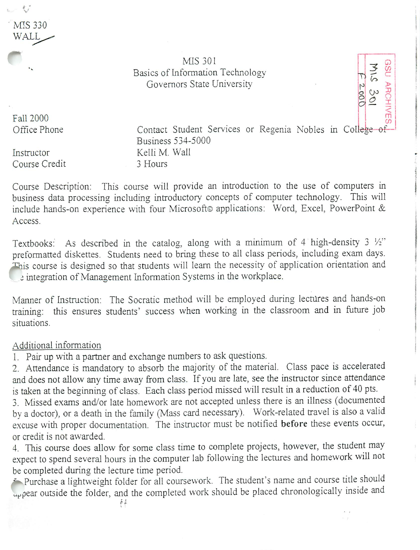*V* MIS 330 WALL

> MIS 301 Basics of Information Technology Governors State University

Fall 2000 Office Phone

Instructor Course Credit Contact Student Services or Regenia Nobles in College of Business 534-5000 Kelli M. Wall 3 Hours

**GRO ARCHIVE** 

 $E = 2.00$ 

Course Description: This course will provide an introduction to the use of computers in business data processing including introductory concepts of computer technology. This will include hands-on experience with four Microsoft© applications: Word, Excel, PowerPoint & Access.

Textbooks: As described in the catalog, along with a minimum of 4 high-density 3 *Vi*preformatted diskettes. Students need to bring these to all class periods, including exam days. This course is designed so that students will learn the necessity of application orientation and **i** integration of Management Information Systems in the workplace.

Manner of Instruction: The Socratic method will be employed during lectures and hands-on training: this ensures students' success when working in the classroom and in future job situations.

## Additional information

1. Pair up with a partner and exchange numbers to ask questions.

2. Attendance is mandatory to absorb the majority of the material. Class pace is accelerated and does not allow any time away from class. If you are late, see the instructor since attendance is taken at the beginning of class. Each class period missed will result in a reduction of 40 pts.

3. Missed exams and/or late homework are not accepted unless there is an illness (documented by a doctor), or a death in the family (Mass card necessary). Work-related travel is also a valid excuse with proper documentation. The instructor must be notified before these events occur, or credit is not awarded.

4. This course does allow for some class time to complete projects, however, the student may expect to spend several hours in the computer lab following the lectures and homework will not be completed during the lecture time period.

-"- Purchase a lightweight folder for all coursework. The student's name and course title should appear outside the folder, and the completed work should be placed chronologically inside and

éé